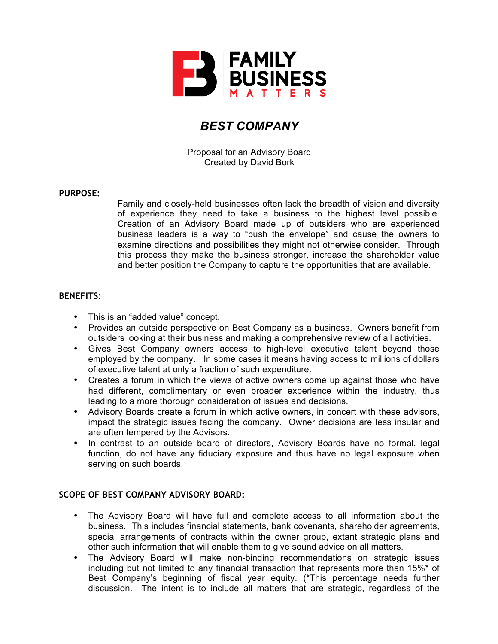

# *BEST COMPANY*

Proposal for an Advisory Board Created by David Bork

## **PURPOSE:**

Family and closely-held businesses often lack the breadth of vision and diversity of experience they need to take a business to the highest level possible. Creation of an Advisory Board made up of outsiders who are experienced business leaders is a way to "push the envelope" and cause the owners to examine directions and possibilities they might not otherwise consider. Through this process they make the business stronger, increase the shareholder value and better position the Company to capture the opportunities that are available.

## **BENEFITS:**

- This is an "added value" concept.
- Provides an outside perspective on Best Company as a business. Owners benefit from outsiders looking at their business and making a comprehensive review of all activities.
- Gives Best Company owners access to high-level executive talent beyond those employed by the company. In some cases it means having access to millions of dollars of executive talent at only a fraction of such expenditure.
- Creates a forum in which the views of active owners come up against those who have had different, complimentary or even broader experience within the industry, thus leading to a more thorough consideration of issues and decisions.
- Advisory Boards create a forum in which active owners, in concert with these advisors, impact the strategic issues facing the company. Owner decisions are less insular and are often tempered by the Advisors.
- In contrast to an outside board of directors, Advisory Boards have no formal, legal function, do not have any fiduciary exposure and thus have no legal exposure when serving on such boards.

# **SCOPE OF BEST COMPANY ADVISORY BOARD:**

- The Advisory Board will have full and complete access to all information about the business. This includes financial statements, bank covenants, shareholder agreements, special arrangements of contracts within the owner group, extant strategic plans and other such information that will enable them to give sound advice on all matters.
- The Advisory Board will make non-binding recommendations on strategic issues including but not limited to any financial transaction that represents more than 15%\* of Best Company's beginning of fiscal year equity. (\*This percentage needs further discussion. The intent is to include all matters that are strategic, regardless of the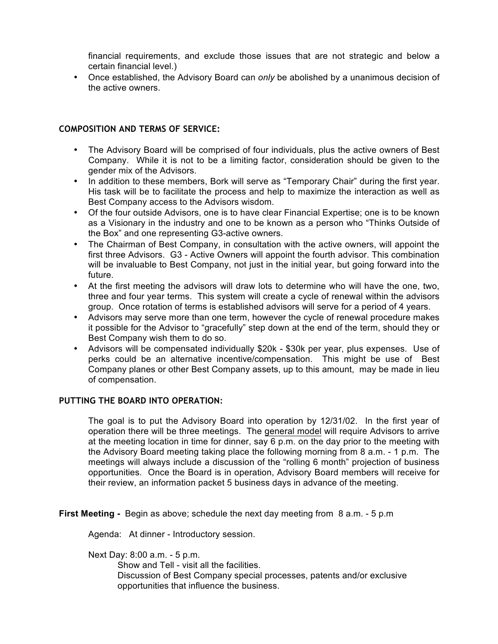financial requirements, and exclude those issues that are not strategic and below a certain financial level.)

• Once established, the Advisory Board can *only* be abolished by a unanimous decision of the active owners.

## **COMPOSITION AND TERMS OF SERVICE:**

- The Advisory Board will be comprised of four individuals, plus the active owners of Best Company. While it is not to be a limiting factor, consideration should be given to the gender mix of the Advisors.
- In addition to these members, Bork will serve as "Temporary Chair" during the first year. His task will be to facilitate the process and help to maximize the interaction as well as Best Company access to the Advisors wisdom.
- Of the four outside Advisors, one is to have clear Financial Expertise; one is to be known as a Visionary in the industry and one to be known as a person who "Thinks Outside of the Box" and one representing G3-active owners.
- The Chairman of Best Company, in consultation with the active owners, will appoint the first three Advisors. G3 - Active Owners will appoint the fourth advisor. This combination will be invaluable to Best Company, not just in the initial year, but going forward into the future.
- At the first meeting the advisors will draw lots to determine who will have the one, two, three and four year terms. This system will create a cycle of renewal within the advisors group. Once rotation of terms is established advisors will serve for a period of 4 years.
- Advisors may serve more than one term, however the cycle of renewal procedure makes it possible for the Advisor to "gracefully" step down at the end of the term, should they or Best Company wish them to do so.
- Advisors will be compensated individually \$20k \$30k per year, plus expenses. Use of perks could be an alternative incentive/compensation. This might be use of Best Company planes or other Best Company assets, up to this amount, may be made in lieu of compensation.

## **PUTTING THE BOARD INTO OPERATION:**

The goal is to put the Advisory Board into operation by 12/31/02. In the first year of operation there will be three meetings. The general model will require Advisors to arrive at the meeting location in time for dinner, say 6 p.m. on the day prior to the meeting with the Advisory Board meeting taking place the following morning from 8 a.m. - 1 p.m. The meetings will always include a discussion of the "rolling 6 month" projection of business opportunities. Once the Board is in operation, Advisory Board members will receive for their review, an information packet 5 business days in advance of the meeting.

**First Meeting -** Begin as above; schedule the next day meeting from 8 a.m. - 5 p.m

Agenda: At dinner - Introductory session.

Next Day: 8:00 a.m. - 5 p.m.

Show and Tell - visit all the facilities. Discussion of Best Company special processes, patents and/or exclusive opportunities that influence the business.